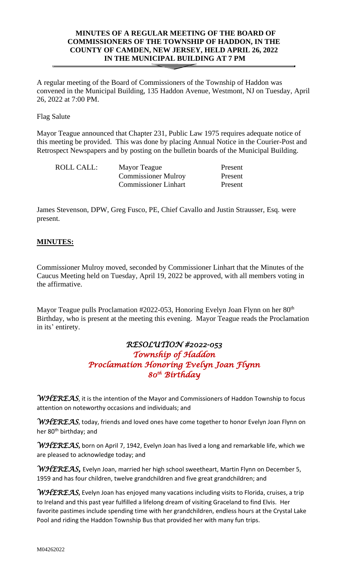# **MINUTES OF A REGULAR MEETING OF THE BOARD OF COMMISSIONERS OF THE TOWNSHIP OF HADDON, IN THE COUNTY OF CAMDEN, NEW JERSEY, HELD APRIL 26, 2022 IN THE MUNICIPAL BUILDING AT 7 PM**

A regular meeting of the Board of Commissioners of the Township of Haddon was convened in the Municipal Building, 135 Haddon Avenue, Westmont, NJ on Tuesday, April 26, 2022 at 7:00 PM.

Flag Salute

Mayor Teague announced that Chapter 231, Public Law 1975 requires adequate notice of this meeting be provided. This was done by placing Annual Notice in the Courier-Post and Retrospect Newspapers and by posting on the bulletin boards of the Municipal Building.

| ROLL CALL: | Mayor Teague                | Present |
|------------|-----------------------------|---------|
|            | <b>Commissioner Mulroy</b>  | Present |
|            | <b>Commissioner Linhart</b> | Present |

James Stevenson, DPW, Greg Fusco, PE, Chief Cavallo and Justin Strausser, Esq. were present.

# **MINUTES:**

Commissioner Mulroy moved, seconded by Commissioner Linhart that the Minutes of the Caucus Meeting held on Tuesday, April 19, 2022 be approved, with all members voting in the affirmative.

Mayor Teague pulls Proclamation #2022-053, Honoring Evelyn Joan Flynn on her 80<sup>th</sup> Birthday, who is present at the meeting this evening. Mayor Teague reads the Proclamation in its' entirety.

# *RESOLUTION #2022-053 Township of Haddon Proclamation Honoring Evelyn Joan Flynn 80th Birthday*

*WHEREAS*, it is the intention of the Mayor and Commissioners of Haddon Township to focus attention on noteworthy occasions and individuals; and

*WHEREAS*, today, friends and loved ones have come together to honor Evelyn Joan Flynn on her 80<sup>th</sup> birthday; and

*WHEREAS***,** born on April 7, 1942, Evelyn Joan has lived a long and remarkable life, which we are pleased to acknowledge today; and

*WHEREAS,* Evelyn Joan, married her high school sweetheart, Martin Flynn on December 5, 1959 and has four children, twelve grandchildren and five great grandchildren; and

*WHEREAS***,** Evelyn Joan has enjoyed many vacations including visits to Florida, cruises, a trip to Ireland and this past year fulfilled a lifelong dream of visiting Graceland to find Elvis. Her favorite pastimes include spending time with her grandchildren, endless hours at the Crystal Lake Pool and riding the Haddon Township Bus that provided her with many fun trips.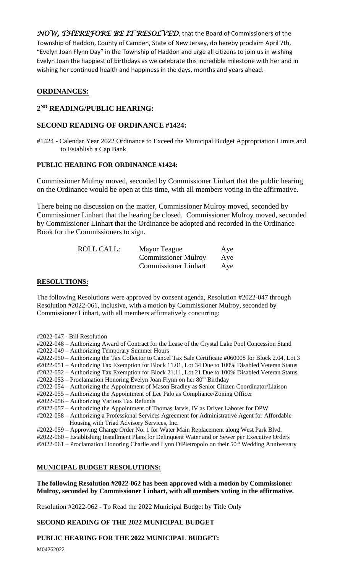*NOW, THEREFORE BE IT RESOLVED*, that the Board of Commissioners of the Township of Haddon, County of Camden, State of New Jersey, do hereby proclaim April 7th, "Evelyn Joan Flynn Day" in the Township of Haddon and urge all citizens to join us in wishing Evelyn Joan the happiest of birthdays as we celebrate this incredible milestone with her and in wishing her continued health and happiness in the days, months and years ahead.

# **ORDINANCES:**

### **2 ND READING/PUBLIC HEARING:**

### **SECOND READING OF ORDINANCE #1424:**

#1424 - Calendar Year 2022 Ordinance to Exceed the Municipal Budget Appropriation Limits and to Establish a Cap Bank

### **PUBLIC HEARING FOR ORDINANCE #1424:**

Commissioner Mulroy moved, seconded by Commissioner Linhart that the public hearing on the Ordinance would be open at this time, with all members voting in the affirmative.

There being no discussion on the matter, Commissioner Mulroy moved, seconded by Commissioner Linhart that the hearing be closed. Commissioner Mulroy moved, seconded by Commissioner Linhart that the Ordinance be adopted and recorded in the Ordinance Book for the Commissioners to sign.

| ROLL CALL: | Mayor Teague                | Aye |
|------------|-----------------------------|-----|
|            | <b>Commissioner Mulroy</b>  | Aye |
|            | <b>Commissioner Linhart</b> | Aye |

#### **RESOLUTIONS:**

The following Resolutions were approved by consent agenda, Resolution #2022-047 through Resolution #2022-061, inclusive, with a motion by Commissioner Mulroy, seconded by Commissioner Linhart, with all members affirmatively concurring:

- #2022-047 Bill Resolution
- #2022-048 Authorizing Award of Contract for the Lease of the Crystal Lake Pool Concession Stand #2022-049 – Authorizing Temporary Summer Hours
- #2022-050 Authorizing the Tax Collector to Cancel Tax Sale Certificate #060008 for Block 2.04, Lot 3

#2022-051 – Authorizing Tax Exemption for Block 11.01, Lot 34 Due to 100% Disabled Veteran Status

#2022-052 – Authorizing Tax Exemption for Block 21.11, Lot 21 Due to 100% Disabled Veteran Status

#2022-053 – Proclamation Honoring Evelyn Joan Flynn on her 80<sup>th</sup> Birthday

- #2022-054 Authorizing the Appointment of Mason Bradley as Senior Citizen Coordinator/Liaison
- #2022-055 Authorizing the Appointment of Lee Palo as Compliance/Zoning Officer
- #2022-056 Authorizing Various Tax Refunds
- #2022-057 Authorizing the Appointment of Thomas Jarvis, IV as Driver Laborer for DPW
- #2022-058 Authorizing a Professional Services Agreement for Administrative Agent for Affordable Housing with Triad Advisory Services, Inc.
- #2022-059 Approving Change Order No. 1 for Water Main Replacement along West Park Blvd.
- #2022-060 Establishing Installment Plans for Delinquent Water and or Sewer per Executive Orders
- $\text{\#2022-061}$  Proclamation Honoring Charlie and Lynn DiPietropolo on their 50<sup>th</sup> Wedding Anniversary

### **MUNICIPAL BUDGET RESOLUTIONS:**

**The following Resolution #2022-062 has been approved with a motion by Commissioner Mulroy, seconded by Commissioner Linhart, with all members voting in the affirmative.**

Resolution #2022-062 - To Read the 2022 Municipal Budget by Title Only

# **SECOND READING OF THE 2022 MUNICIPAL BUDGET**

# **PUBLIC HEARING FOR THE 2022 MUNICIPAL BUDGET:**

M04262022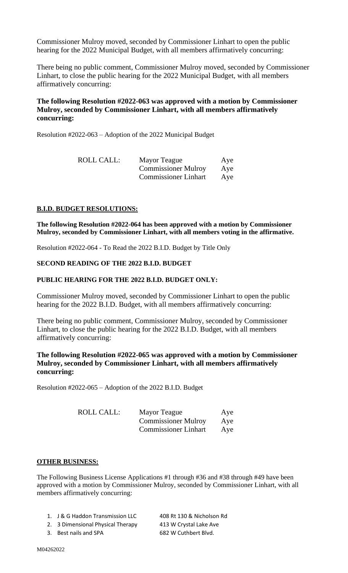Commissioner Mulroy moved, seconded by Commissioner Linhart to open the public hearing for the 2022 Municipal Budget, with all members affirmatively concurring:

There being no public comment, Commissioner Mulroy moved, seconded by Commissioner Linhart, to close the public hearing for the 2022 Municipal Budget, with all members affirmatively concurring:

# **The following Resolution #2022-063 was approved with a motion by Commissioner Mulroy, seconded by Commissioner Linhart, with all members affirmatively concurring:**

Resolution #2022-063 – Adoption of the 2022 Municipal Budget

| ROLL CALL: | Mayor Teague                | Aye |
|------------|-----------------------------|-----|
|            | <b>Commissioner Mulroy</b>  | Aye |
|            | <b>Commissioner Linhart</b> | Aye |

### **B.I.D. BUDGET RESOLUTIONS:**

**The following Resolution #2022-064 has been approved with a motion by Commissioner Mulroy, seconded by Commissioner Linhart, with all members voting in the affirmative.**

Resolution #2022-064 - To Read the 2022 B.I.D. Budget by Title Only

### **SECOND READING OF THE 2022 B.I.D. BUDGET**

#### **PUBLIC HEARING FOR THE 2022 B.I.D. BUDGET ONLY:**

Commissioner Mulroy moved, seconded by Commissioner Linhart to open the public hearing for the 2022 B.I.D. Budget, with all members affirmatively concurring:

There being no public comment, Commissioner Mulroy, seconded by Commissioner Linhart, to close the public hearing for the 2022 B.I.D. Budget, with all members affirmatively concurring:

### **The following Resolution #2022-065 was approved with a motion by Commissioner Mulroy, seconded by Commissioner Linhart, with all members affirmatively concurring:**

Resolution #2022-065 – Adoption of the 2022 B.I.D. Budget

| ROLL CALL: | Mayor Teague                | Aye |
|------------|-----------------------------|-----|
|            | <b>Commissioner Mulroy</b>  | Aye |
|            | <b>Commissioner Linhart</b> | Ave |

#### **OTHER BUSINESS:**

The Following Business License Applications #1 through #36 and #38 through #49 have been approved with a motion by Commissioner Mulroy, seconded by Commissioner Linhart, with all members affirmatively concurring:

| 1. J & G Haddon Transmission LLC  | 408 Rt 130 & Nicholson Rd |
|-----------------------------------|---------------------------|
| 2. 3 Dimensional Physical Therapy | 413 W Crystal Lake Ave    |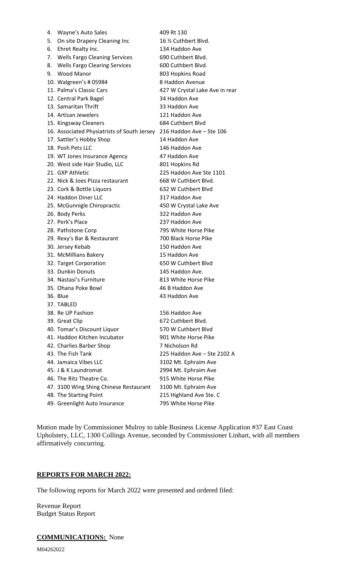| 4. | Wayne's Auto Sales                                                   | 409 Rt 130                     |
|----|----------------------------------------------------------------------|--------------------------------|
| 5. | On site Drapery Cleaning Inc                                         | 16 1/2 Cuthbert Blvd.          |
| 6. | Ehret Realty Inc.                                                    | 134 Haddon Ave                 |
| 7. | <b>Wells Fargo Cleaning Services</b>                                 | 690 Cuthbert Blvd.             |
| 8. | <b>Wells Fargo Clearing Services</b>                                 | 600 Cuthbert Blvd.             |
| 9. | <b>Wood Manor</b>                                                    | 803 Hopkins Road               |
|    | 10. Walgreen's # 05984                                               | 8 Haddon Avenue                |
|    | 11. Palma's Classic Cars                                             | 427 W Crystal Lake Ave in rear |
|    | 12. Central Park Bagel                                               | 34 Haddon Ave                  |
|    | 13. Samaritan Thrift                                                 | 33 Haddon Ave                  |
|    | 14. Artisan Jewelers                                                 | 121 Haddon Ave                 |
|    | 15. Kingsway Cleaners                                                | 684 Cuthbert Blvd              |
|    | 16. Associated Physiatrists of South Jersey 216 Haddon Ave - Ste 106 |                                |
|    | 17. Sattler's Hobby Shop                                             | 14 Haddon Ave                  |
|    | 18. Posh Pets LLC                                                    | 146 Haddon Ave                 |
|    | 19. WT Jones Insurance Agency                                        | 47 Haddon Ave                  |
|    | 20. West side Hair Studio, LLC                                       | 801 Hopkins Rd                 |
|    | 21. GXP Athletic                                                     | 225 Haddon Ave Ste 1101        |
|    | 22. Nick & Joes Pizza restaurant                                     | 668 W Cuthbert Blvd.           |
|    | 23. Cork & Bottle Liquors                                            | 632 W Cuthbert Blvd            |
|    | 24. Haddon Diner LLC                                                 | 317 Haddon Ave                 |
|    | 25. McGunnigle Chiropractic                                          | 450 W Crystal Lake Ave         |
|    | 26. Body Perks                                                       | 322 Haddon Ave                 |
|    | 27. Perk's Place                                                     | 237 Haddon Ave                 |
|    | 28. Pathstone Corp                                                   | 795 White Horse Pike           |
|    | 29. Rexy's Bar & Restaurant                                          | 700 Black Horse Pike           |
|    | 30. Jersey Kebab                                                     | 150 Haddon Ave                 |
|    | 31. McMillians Bakery                                                | 15 Haddon Ave                  |
|    | 32. Target Corporation                                               | 650 W Cuthbert Blvd            |
|    | 33. Dunkin Donuts                                                    | 145 Haddon Ave.                |
|    | 34. Nastasi's Furniture                                              | 813 White Horse Pike           |
|    | 35. Ohana Poke Bowl                                                  | 46 B Haddon Ave                |
|    | 36. Blue                                                             | 43 Haddon Ave                  |
|    | 37. TABLED                                                           |                                |
|    | 38. Re UP Fashion                                                    | 156 Haddon Ave                 |
|    | 39. Great Clip                                                       | 672 Cuthbert Blvd.             |
|    | 40. Tomar's Discount Liquor                                          | 570 W Cuthbert Blyd            |
|    | 41. Haddon Kitchen Incubator                                         | 901 White Horse Pike           |
|    | 42. Charlies Barber Shop                                             | 7 Nicholson Rd                 |
|    | 43. The Fish Tank                                                    | 225 Haddon Ave - Ste 2102 A    |
|    | 44. Jamaica Vibes LLC                                                | 3102 Mt. Ephraim Ave           |
|    | 45. J & K Laundromat                                                 | 2994 Mt. Ephraim Ave           |
|    | 46. The Ritz Theatre Co.                                             | 915 White Horse Pike           |
|    | 47. 3100 Wing Shing Chinese Restaurant                               | 3100 Mt. Ephraim Ave           |
|    | 48. The Starting Point                                               | 215 Highland Ave Ste. C        |
|    | 49. Greenlight Auto Insurance                                        | 795 White Horse Pike           |

Motion made by Commissioner Mulroy to table Business License Application #37 East Coast Upholstery, LLC, 1300 Collings Avenue, seconded by Commissioner Linhart, with all members affirmatively concurring.

### **REPORTS FOR MARCH 2022:**

The following reports for March 2022 were presented and ordered filed:

Revenue Report Budget Status Report

### **COMMUNICATIONS:** None

M04262022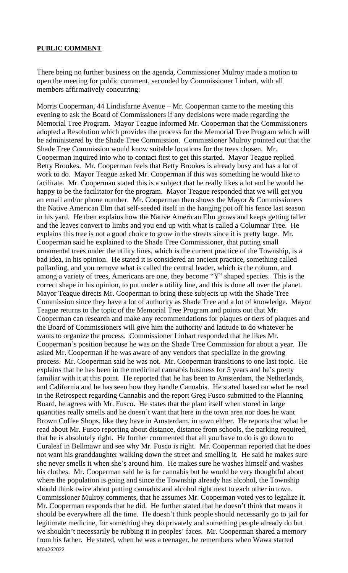#### **PUBLIC COMMENT**

There being no further business on the agenda, Commissioner Mulroy made a motion to open the meeting for public comment, seconded by Commissioner Linhart, with all members affirmatively concurring:

M04262022 Morris Cooperman, 44 Lindisfarne Avenue – Mr. Cooperman came to the meeting this evening to ask the Board of Commissioners if any decisions were made regarding the Memorial Tree Program. Mayor Teague informed Mr. Cooperman that the Commissioners adopted a Resolution which provides the process for the Memorial Tree Program which will be administered by the Shade Tree Commission. Commissioner Mulroy pointed out that the Shade Tree Commission would know suitable locations for the trees chosen. Mr. Cooperman inquired into who to contact first to get this started. Mayor Teague replied Betty Brookes. Mr. Cooperman feels that Betty Brookes is already busy and has a lot of work to do. Mayor Teague asked Mr. Cooperman if this was something he would like to facilitate. Mr. Cooperman stated this is a subject that he really likes a lot and he would be happy to be the facilitator for the program. Mayor Teague responded that we will get you an email and/or phone number. Mr. Cooperman then shows the Mayor & Commissioners the Native American Elm that self-seeded itself in the hanging pot off his fence last season in his yard. He then explains how the Native American Elm grows and keeps getting taller and the leaves convert to limbs and you end up with what is called a Columnar Tree. He explains this tree is not a good choice to grow in the streets since it is pretty large. Mr. Cooperman said he explained to the Shade Tree Commissioner, that putting small ornamental trees under the utility lines, which is the current practice of the Township, is a bad idea, in his opinion. He stated it is considered an ancient practice, something called pollarding, and you remove what is called the central leader, which is the column, and among a variety of trees, Americans are one, they become "Y" shaped species. This is the correct shape in his opinion, to put under a utility line, and this is done all over the planet. Mayor Teague directs Mr. Cooperman to bring these subjects up with the Shade Tree Commission since they have a lot of authority as Shade Tree and a lot of knowledge. Mayor Teague returns to the topic of the Memorial Tree Program and points out that Mr. Cooperman can research and make any recommendations for plaques or tiers of plaques and the Board of Commissioners will give him the authority and latitude to do whatever he wants to organize the process. Commissioner Linhart responded that he likes Mr. Cooperman's position because he was on the Shade Tree Commission for about a year. He asked Mr. Cooperman if he was aware of any vendors that specialize in the growing process. Mr. Cooperman said he was not. Mr. Cooperman transitions to one last topic. He explains that he has been in the medicinal cannabis business for 5 years and he's pretty familiar with it at this point. He reported that he has been to Amsterdam, the Netherlands, and California and he has seen how they handle Cannabis. He stated based on what he read in the Retrospect regarding Cannabis and the report Greg Fusco submitted to the Planning Board, he agrees with Mr. Fusco. He states that the plant itself when stored in large quantities really smells and he doesn't want that here in the town area nor does he want Brown Coffee Shops, like they have in Amsterdam, in town either. He reports that what he read about Mr. Fusco reporting about distance, distance from schools, the parking required, that he is absolutely right. He further commented that all you have to do is go down to Curaleaf in Bellmawr and see why Mr. Fusco is right. Mr. Cooperman reported that he does not want his granddaughter walking down the street and smelling it. He said he makes sure she never smells it when she's around him. He makes sure he washes himself and washes his clothes. Mr. Cooperman said he is for cannabis but he would be very thoughtful about where the population is going and since the Township already has alcohol, the Township should think twice about putting cannabis and alcohol right next to each other in town. Commissioner Mulroy comments, that he assumes Mr. Cooperman voted yes to legalize it. Mr. Cooperman responds that he did. He further stated that he doesn't think that means it should be everywhere all the time. He doesn't think people should necessarily go to jail for legitimate medicine, for something they do privately and something people already do but we shouldn't necessarily be rubbing it in peoples' faces. Mr. Cooperman shared a memory from his father. He stated, when he was a teenager, he remembers when Wawa started